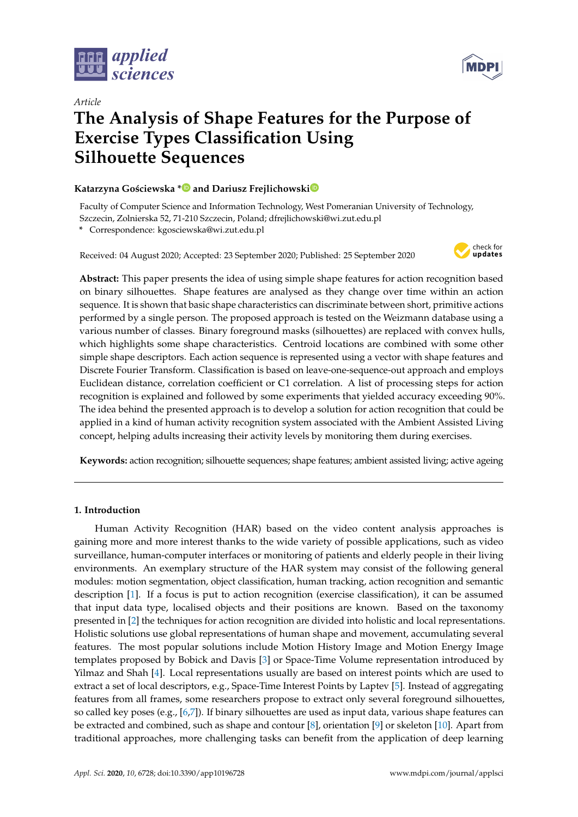

*Article*



# **The Analysis of Shape Features for the Purpose of Exercise Types Classification Using Silhouette Sequences**

# **Katarzyna Go´sciewska [\\*](https://orcid.org/0000-0002-6726-2174) and Dariusz Frejlichowsk[i](https://orcid.org/0000-0002-8051-476X)**

Faculty of Computer Science and Information Technology, West Pomeranian University of Technology, Szczecin, Zolnierska 52, 71-210 Szczecin, Poland; dfrejlichowski@wi.zut.edu.pl

**\*** Correspondence: kgosciewska@wi.zut.edu.pl

Received: 04 August 2020; Accepted: 23 September 2020; Published: 25 September 2020



**Abstract:** This paper presents the idea of using simple shape features for action recognition based on binary silhouettes. Shape features are analysed as they change over time within an action sequence. It is shown that basic shape characteristics can discriminate between short, primitive actions performed by a single person. The proposed approach is tested on the Weizmann database using a various number of classes. Binary foreground masks (silhouettes) are replaced with convex hulls, which highlights some shape characteristics. Centroid locations are combined with some other simple shape descriptors. Each action sequence is represented using a vector with shape features and Discrete Fourier Transform. Classification is based on leave-one-sequence-out approach and employs Euclidean distance, correlation coefficient or C1 correlation. A list of processing steps for action recognition is explained and followed by some experiments that yielded accuracy exceeding 90%. The idea behind the presented approach is to develop a solution for action recognition that could be applied in a kind of human activity recognition system associated with the Ambient Assisted Living concept, helping adults increasing their activity levels by monitoring them during exercises.

**Keywords:** action recognition; silhouette sequences; shape features; ambient assisted living; active ageing

# **1. Introduction**

Human Activity Recognition (HAR) based on the video content analysis approaches is gaining more and more interest thanks to the wide variety of possible applications, such as video surveillance, human-computer interfaces or monitoring of patients and elderly people in their living environments. An exemplary structure of the HAR system may consist of the following general modules: motion segmentation, object classification, human tracking, action recognition and semantic description [\[1\]](#page-10-0). If a focus is put to action recognition (exercise classification), it can be assumed that input data type, localised objects and their positions are known. Based on the taxonomy presented in [\[2\]](#page-10-1) the techniques for action recognition are divided into holistic and local representations. Holistic solutions use global representations of human shape and movement, accumulating several features. The most popular solutions include Motion History Image and Motion Energy Image templates proposed by Bobick and Davis [\[3\]](#page-10-2) or Space-Time Volume representation introduced by Yilmaz and Shah [\[4\]](#page-10-3). Local representations usually are based on interest points which are used to extract a set of local descriptors, e.g., Space-Time Interest Points by Laptev [\[5\]](#page-10-4). Instead of aggregating features from all frames, some researchers propose to extract only several foreground silhouettes, so called key poses (e.g., [\[6](#page-10-5)[,7\]](#page-10-6)). If binary silhouettes are used as input data, various shape features can be extracted and combined, such as shape and contour [\[8\]](#page-10-7), orientation [\[9\]](#page-10-8) or skeleton [\[10\]](#page-10-9). Apart from traditional approaches, more challenging tasks can benefit from the application of deep learning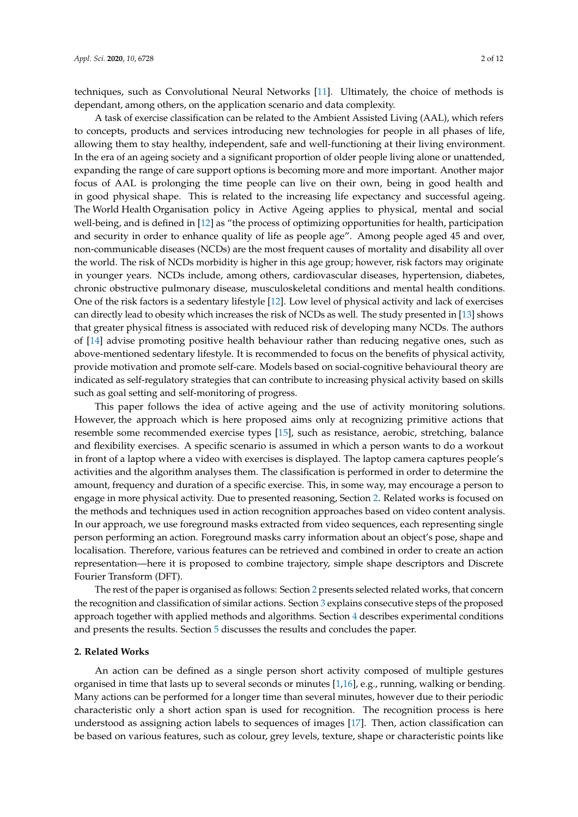techniques, such as Convolutional Neural Networks [\[11\]](#page-10-10). Ultimately, the choice of methods is dependant, among others, on the application scenario and data complexity.

A task of exercise classification can be related to the Ambient Assisted Living (AAL), which refers to concepts, products and services introducing new technologies for people in all phases of life, allowing them to stay healthy, independent, safe and well-functioning at their living environment. In the era of an ageing society and a significant proportion of older people living alone or unattended, expanding the range of care support options is becoming more and more important. Another major focus of AAL is prolonging the time people can live on their own, being in good health and in good physical shape. This is related to the increasing life expectancy and successful ageing. The World Health Organisation policy in Active Ageing applies to physical, mental and social well-being, and is defined in [\[12\]](#page-10-11) as "the process of optimizing opportunities for health, participation and security in order to enhance quality of life as people age". Among people aged 45 and over, non-communicable diseases (NCDs) are the most frequent causes of mortality and disability all over the world. The risk of NCDs morbidity is higher in this age group; however, risk factors may originate in younger years. NCDs include, among others, cardiovascular diseases, hypertension, diabetes, chronic obstructive pulmonary disease, musculoskeletal conditions and mental health conditions. One of the risk factors is a sedentary lifestyle [\[12\]](#page-10-11). Low level of physical activity and lack of exercises can directly lead to obesity which increases the risk of NCDs as well. The study presented in [\[13\]](#page-10-12) shows that greater physical fitness is associated with reduced risk of developing many NCDs. The authors of [\[14\]](#page-10-13) advise promoting positive health behaviour rather than reducing negative ones, such as above-mentioned sedentary lifestyle. It is recommended to focus on the benefits of physical activity, provide motivation and promote self-care. Models based on social-cognitive behavioural theory are indicated as self-regulatory strategies that can contribute to increasing physical activity based on skills such as goal setting and self-monitoring of progress.

This paper follows the idea of active ageing and the use of activity monitoring solutions. However, the approach which is here proposed aims only at recognizing primitive actions that resemble some recommended exercise types [\[15\]](#page-11-0), such as resistance, aerobic, stretching, balance and flexibility exercises. A specific scenario is assumed in which a person wants to do a workout in front of a laptop where a video with exercises is displayed. The laptop camera captures people's activities and the algorithm analyses them. The classification is performed in order to determine the amount, frequency and duration of a specific exercise. This, in some way, may encourage a person to engage in more physical activity. Due to presented reasoning, Section [2.](#page-1-0) Related works is focused on the methods and techniques used in action recognition approaches based on video content analysis. In our approach, we use foreground masks extracted from video sequences, each representing single person performing an action. Foreground masks carry information about an object's pose, shape and localisation. Therefore, various features can be retrieved and combined in order to create an action representation—here it is proposed to combine trajectory, simple shape descriptors and Discrete Fourier Transform (DFT).

The rest of the paper is organised as follows: Section [2](#page-1-0) presents selected related works, that concern the recognition and classification of similar actions. Section [3](#page-3-0) explains consecutive steps of the proposed approach together with applied methods and algorithms. Section [4](#page-7-0) describes experimental conditions and presents the results. Section [5](#page-9-0) discusses the results and concludes the paper.

## <span id="page-1-0"></span>**2. Related Works**

An action can be defined as a single person short activity composed of multiple gestures organised in time that lasts up to several seconds or minutes [\[1](#page-10-0)[,16\]](#page-11-1), e.g., running, walking or bending. Many actions can be performed for a longer time than several minutes, however due to their periodic characteristic only a short action span is used for recognition. The recognition process is here understood as assigning action labels to sequences of images [\[17\]](#page-11-2). Then, action classification can be based on various features, such as colour, grey levels, texture, shape or characteristic points like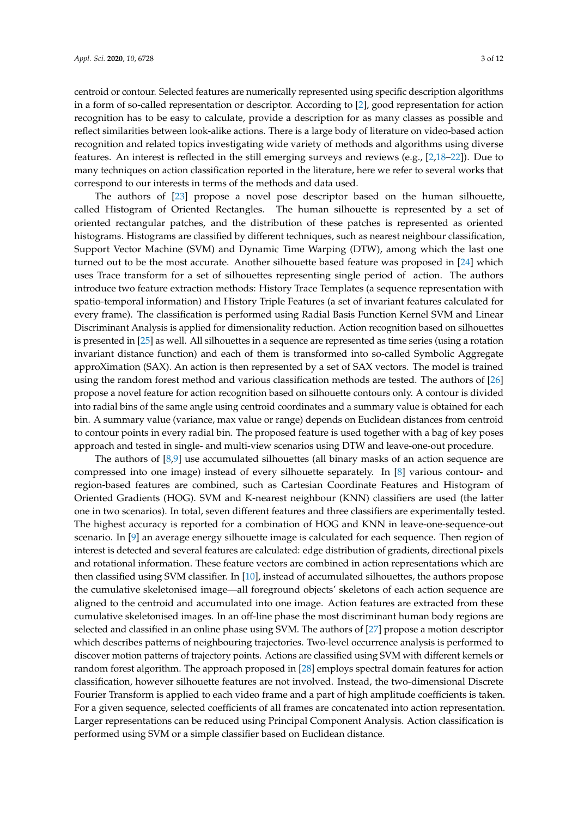centroid or contour. Selected features are numerically represented using specific description algorithms in a form of so-called representation or descriptor. According to [\[2\]](#page-10-1), good representation for action recognition has to be easy to calculate, provide a description for as many classes as possible and reflect similarities between look-alike actions. There is a large body of literature on video-based action recognition and related topics investigating wide variety of methods and algorithms using diverse features. An interest is reflected in the still emerging surveys and reviews (e.g., [\[2](#page-10-1)[,18](#page-11-3)[–22\]](#page-11-4)). Due to many techniques on action classification reported in the literature, here we refer to several works that correspond to our interests in terms of the methods and data used.

The authors of [\[23\]](#page-11-5) propose a novel pose descriptor based on the human silhouette, called Histogram of Oriented Rectangles. The human silhouette is represented by a set of oriented rectangular patches, and the distribution of these patches is represented as oriented histograms. Histograms are classified by different techniques, such as nearest neighbour classification, Support Vector Machine (SVM) and Dynamic Time Warping (DTW), among which the last one turned out to be the most accurate. Another silhouette based feature was proposed in [\[24\]](#page-11-6) which uses Trace transform for a set of silhouettes representing single period of action. The authors introduce two feature extraction methods: History Trace Templates (a sequence representation with spatio-temporal information) and History Triple Features (a set of invariant features calculated for every frame). The classification is performed using Radial Basis Function Kernel SVM and Linear Discriminant Analysis is applied for dimensionality reduction. Action recognition based on silhouettes is presented in [\[25\]](#page-11-7) as well. All silhouettes in a sequence are represented as time series (using a rotation invariant distance function) and each of them is transformed into so-called Symbolic Aggregate approXimation (SAX). An action is then represented by a set of SAX vectors. The model is trained using the random forest method and various classification methods are tested. The authors of [\[26\]](#page-11-8) propose a novel feature for action recognition based on silhouette contours only. A contour is divided into radial bins of the same angle using centroid coordinates and a summary value is obtained for each bin. A summary value (variance, max value or range) depends on Euclidean distances from centroid to contour points in every radial bin. The proposed feature is used together with a bag of key poses approach and tested in single- and multi-view scenarios using DTW and leave-one-out procedure.

The authors of [\[8,](#page-10-7)[9\]](#page-10-8) use accumulated silhouettes (all binary masks of an action sequence are compressed into one image) instead of every silhouette separately. In [\[8\]](#page-10-7) various contour- and region-based features are combined, such as Cartesian Coordinate Features and Histogram of Oriented Gradients (HOG). SVM and K-nearest neighbour (KNN) classifiers are used (the latter one in two scenarios). In total, seven different features and three classifiers are experimentally tested. The highest accuracy is reported for a combination of HOG and KNN in leave-one-sequence-out scenario. In [\[9\]](#page-10-8) an average energy silhouette image is calculated for each sequence. Then region of interest is detected and several features are calculated: edge distribution of gradients, directional pixels and rotational information. These feature vectors are combined in action representations which are then classified using SVM classifier. In [\[10\]](#page-10-9), instead of accumulated silhouettes, the authors propose the cumulative skeletonised image—all foreground objects' skeletons of each action sequence are aligned to the centroid and accumulated into one image. Action features are extracted from these cumulative skeletonised images. In an off-line phase the most discriminant human body regions are selected and classified in an online phase using SVM. The authors of [\[27\]](#page-11-9) propose a motion descriptor which describes patterns of neighbouring trajectories. Two-level occurrence analysis is performed to discover motion patterns of trajectory points. Actions are classified using SVM with different kernels or random forest algorithm. The approach proposed in [\[28\]](#page-11-10) employs spectral domain features for action classification, however silhouette features are not involved. Instead, the two-dimensional Discrete Fourier Transform is applied to each video frame and a part of high amplitude coefficients is taken. For a given sequence, selected coefficients of all frames are concatenated into action representation. Larger representations can be reduced using Principal Component Analysis. Action classification is performed using SVM or a simple classifier based on Euclidean distance.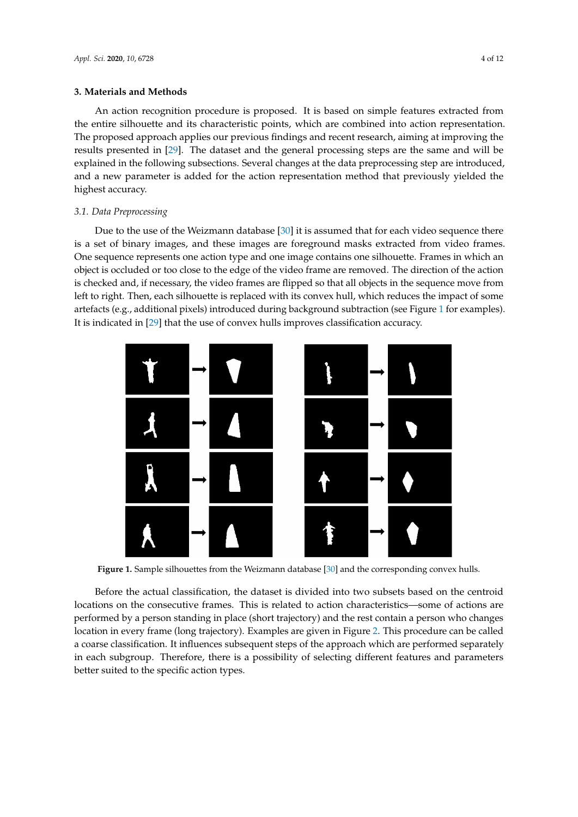#### <span id="page-3-0"></span>**3. Materials and Methods**

An action recognition procedure is proposed. It is based on simple features extracted from the entire silhouette and its characteristic points, which are combined into action representation. The proposed approach applies our previous findings and recent research, aiming at improving the results presented in [\[29\]](#page-11-11). The dataset and the general processing steps are the same and will be explained in the following subsections. Several changes at the data preprocessing step are introduced, and a new parameter is added for the action representation method that previously yielded the highest accuracy.

## *3.1. Data Preprocessing*

Due to the use of the Weizmann database [\[30\]](#page-11-12) it is assumed that for each video sequence there is a set of binary images, and these images are foreground masks extracted from video frames. One sequence represents one action type and one image contains one silhouette. Frames in which an object is occluded or too close to the edge of the video frame are removed. The direction of the action is checked and, if necessary, the video frames are flipped so that all objects in the sequence move from left to right. Then, each silhouette is replaced with its convex hull, which reduces the impact of some artefacts (e.g., additional pixels) introduced during background subtraction (see Figure [1](#page-3-1) for examples). It is indicated in [\[29\]](#page-11-11) that the use of convex hulls improves classification accuracy.

<span id="page-3-1"></span>

**Figure 1.** Sample silhouettes from the Weizmann database [\[30\]](#page-11-12) and the corresponding convex hulls.

Before the actual classification, the dataset is divided into two subsets based on the centroid locations on the consecutive frames. This is related to action characteristics—some of actions are performed by a person standing in place (short trajectory) and the rest contain a person who changes location in every frame (long trajectory). Examples are given in Figure [2.](#page-4-0) This procedure can be called a coarse classification. It influences subsequent steps of the approach which are performed separately in each subgroup. Therefore, there is a possibility of selecting different features and parameters better suited to the specific action types.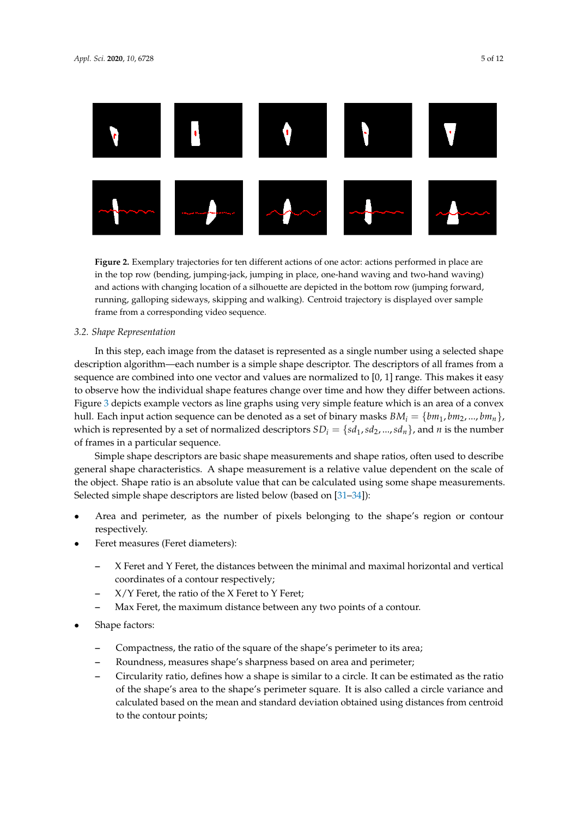<span id="page-4-0"></span>

**Figure 2.** Exemplary trajectories for ten different actions of one actor: actions performed in place are in the top row (bending, jumping-jack, jumping in place, one-hand waving and two-hand waving) and actions with changing location of a silhouette are depicted in the bottom row (jumping forward, running, galloping sideways, skipping and walking). Centroid trajectory is displayed over sample frame from a corresponding video sequence.

## *3.2. Shape Representation*

In this step, each image from the dataset is represented as a single number using a selected shape description algorithm—each number is a simple shape descriptor. The descriptors of all frames from a sequence are combined into one vector and values are normalized to [0, 1] range. This makes it easy to observe how the individual shape features change over time and how they differ between actions. Figure [3](#page-6-0) depicts example vectors as line graphs using very simple feature which is an area of a convex hull. Each input action sequence can be denoted as a set of binary masks  $BM_i = \{bm_1, bm_2, ..., bm_n\}$ , which is represented by a set of normalized descriptors  $SD_i = \{sd_1, sd_2, ..., sd_n\}$ , and *n* is the number of frames in a particular sequence.

Simple shape descriptors are basic shape measurements and shape ratios, often used to describe general shape characteristics. A shape measurement is a relative value dependent on the scale of the object. Shape ratio is an absolute value that can be calculated using some shape measurements. Selected simple shape descriptors are listed below (based on [\[31–](#page-11-13)[34\]](#page-11-14)):

- Area and perimeter, as the number of pixels belonging to the shape's region or contour respectively.
- Feret measures (Feret diameters):
	- **–** X Feret and Y Feret, the distances between the minimal and maximal horizontal and vertical coordinates of a contour respectively;
	- **–** X/Y Feret, the ratio of the X Feret to Y Feret;
	- **–** Max Feret, the maximum distance between any two points of a contour.
- Shape factors:
	- **–** Compactness, the ratio of the square of the shape's perimeter to its area;
	- **–** Roundness, measures shape's sharpness based on area and perimeter;
	- **–** Circularity ratio, defines how a shape is similar to a circle. It can be estimated as the ratio of the shape's area to the shape's perimeter square. It is also called a circle variance and calculated based on the mean and standard deviation obtained using distances from centroid to the contour points;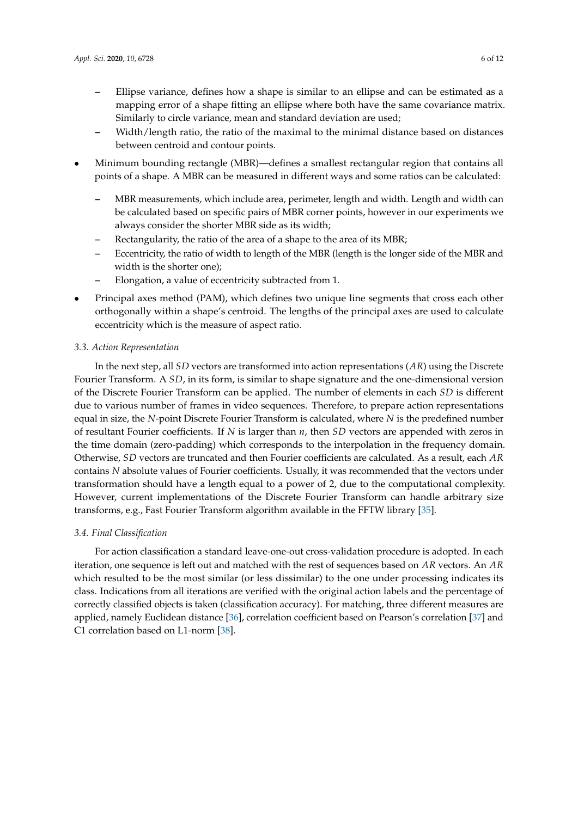- **–** Ellipse variance, defines how a shape is similar to an ellipse and can be estimated as a mapping error of a shape fitting an ellipse where both have the same covariance matrix. Similarly to circle variance, mean and standard deviation are used;
- **–** Width/length ratio, the ratio of the maximal to the minimal distance based on distances between centroid and contour points.
- Minimum bounding rectangle (MBR)—defines a smallest rectangular region that contains all points of a shape. A MBR can be measured in different ways and some ratios can be calculated:
	- **–** MBR measurements, which include area, perimeter, length and width. Length and width can be calculated based on specific pairs of MBR corner points, however in our experiments we always consider the shorter MBR side as its width;
	- **–** Rectangularity, the ratio of the area of a shape to the area of its MBR;
	- **–** Eccentricity, the ratio of width to length of the MBR (length is the longer side of the MBR and width is the shorter one);
	- **–** Elongation, a value of eccentricity subtracted from 1.
- Principal axes method (PAM), which defines two unique line segments that cross each other orthogonally within a shape's centroid. The lengths of the principal axes are used to calculate eccentricity which is the measure of aspect ratio.

# *3.3. Action Representation*

In the next step, all *SD* vectors are transformed into action representations (*AR*) using the Discrete Fourier Transform. A *SD*, in its form, is similar to shape signature and the one-dimensional version of the Discrete Fourier Transform can be applied. The number of elements in each *SD* is different due to various number of frames in video sequences. Therefore, to prepare action representations equal in size, the *N*-point Discrete Fourier Transform is calculated, where *N* is the predefined number of resultant Fourier coefficients. If *N* is larger than *n*, then *SD* vectors are appended with zeros in the time domain (zero-padding) which corresponds to the interpolation in the frequency domain. Otherwise, *SD* vectors are truncated and then Fourier coefficients are calculated. As a result, each *AR* contains *N* absolute values of Fourier coefficients. Usually, it was recommended that the vectors under transformation should have a length equal to a power of 2, due to the computational complexity. However, current implementations of the Discrete Fourier Transform can handle arbitrary size transforms, e.g., Fast Fourier Transform algorithm available in the FFTW library [\[35\]](#page-11-15).

## *3.4. Final Classification*

For action classification a standard leave-one-out cross-validation procedure is adopted. In each iteration, one sequence is left out and matched with the rest of sequences based on *AR* vectors. An *AR* which resulted to be the most similar (or less dissimilar) to the one under processing indicates its class. Indications from all iterations are verified with the original action labels and the percentage of correctly classified objects is taken (classification accuracy). For matching, three different measures are applied, namely Euclidean distance [\[36\]](#page-11-16), correlation coefficient based on Pearson's correlation [\[37\]](#page-11-17) and C1 correlation based on L1-norm [\[38\]](#page-11-18).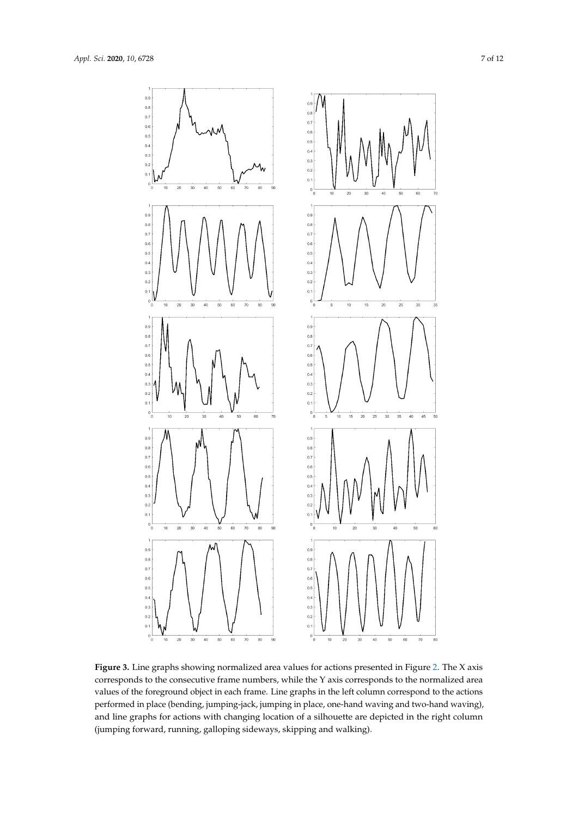<span id="page-6-0"></span>

**Figure 3.** Line graphs showing normalized area values for actions presented in Figure [2.](#page-4-0) The X axis corresponds to the consecutive frame numbers, while the Y axis corresponds to the normalized area values of the foreground object in each frame. Line graphs in the left column correspond to the actions performed in place (bending, jumping-jack, jumping in place, one-hand waving and two-hand waving), and line graphs for actions with changing location of a silhouette are depicted in the right column (jumping forward, running, galloping sideways, skipping and walking).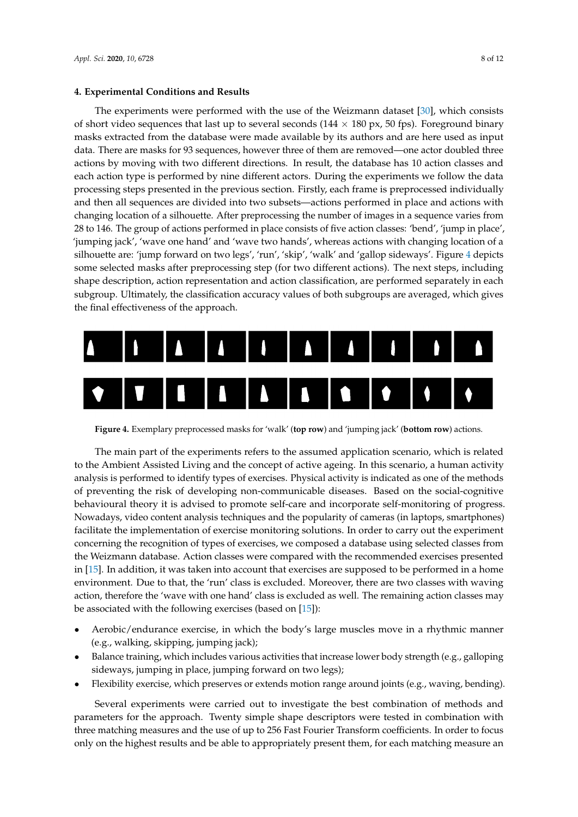#### <span id="page-7-0"></span>**4. Experimental Conditions and Results**

The experiments were performed with the use of the Weizmann dataset [\[30\]](#page-11-12), which consists of short video sequences that last up to several seconds  $(144 \times 180 \text{ px}, 50 \text{fps})$ . Foreground binary masks extracted from the database were made available by its authors and are here used as input data. There are masks for 93 sequences, however three of them are removed—one actor doubled three actions by moving with two different directions. In result, the database has 10 action classes and each action type is performed by nine different actors. During the experiments we follow the data processing steps presented in the previous section. Firstly, each frame is preprocessed individually and then all sequences are divided into two subsets—actions performed in place and actions with changing location of a silhouette. After preprocessing the number of images in a sequence varies from 28 to 146. The group of actions performed in place consists of five action classes: 'bend', 'jump in place', 'jumping jack', 'wave one hand' and 'wave two hands', whereas actions with changing location of a silhouette are: 'jump forward on two legs', 'run', 'skip', 'walk' and 'gallop sideways'. Figure [4](#page-7-1) depicts some selected masks after preprocessing step (for two different actions). The next steps, including shape description, action representation and action classification, are performed separately in each subgroup. Ultimately, the classification accuracy values of both subgroups are averaged, which gives the final effectiveness of the approach.

<span id="page-7-1"></span>

**Figure 4.** Exemplary preprocessed masks for 'walk' (**top row**) and 'jumping jack' (**bottom row**) actions.

The main part of the experiments refers to the assumed application scenario, which is related to the Ambient Assisted Living and the concept of active ageing. In this scenario, a human activity analysis is performed to identify types of exercises. Physical activity is indicated as one of the methods of preventing the risk of developing non-communicable diseases. Based on the social-cognitive behavioural theory it is advised to promote self-care and incorporate self-monitoring of progress. Nowadays, video content analysis techniques and the popularity of cameras (in laptops, smartphones) facilitate the implementation of exercise monitoring solutions. In order to carry out the experiment concerning the recognition of types of exercises, we composed a database using selected classes from the Weizmann database. Action classes were compared with the recommended exercises presented in [\[15\]](#page-11-0). In addition, it was taken into account that exercises are supposed to be performed in a home environment. Due to that, the 'run' class is excluded. Moreover, there are two classes with waving action, therefore the 'wave with one hand' class is excluded as well. The remaining action classes may be associated with the following exercises (based on [\[15\]](#page-11-0)):

- Aerobic/endurance exercise, in which the body's large muscles move in a rhythmic manner (e.g., walking, skipping, jumping jack);
- Balance training, which includes various activities that increase lower body strength (e.g., galloping sideways, jumping in place, jumping forward on two legs);
- Flexibility exercise, which preserves or extends motion range around joints (e.g., waving, bending).

Several experiments were carried out to investigate the best combination of methods and parameters for the approach. Twenty simple shape descriptors were tested in combination with three matching measures and the use of up to 256 Fast Fourier Transform coefficients. In order to focus only on the highest results and be able to appropriately present them, for each matching measure an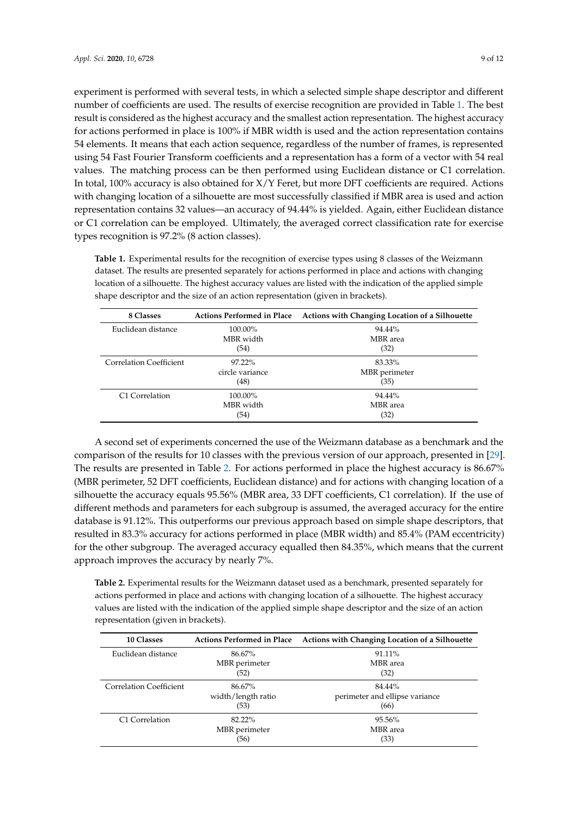experiment is performed with several tests, in which a selected simple shape descriptor and different number of coefficients are used. The results of exercise recognition are provided in Table [1.](#page-8-0) The best result is considered as the highest accuracy and the smallest action representation. The highest accuracy for actions performed in place is 100% if MBR width is used and the action representation contains 54 elements. It means that each action sequence, regardless of the number of frames, is represented using 54 Fast Fourier Transform coefficients and a representation has a form of a vector with 54 real values. The matching process can be then performed using Euclidean distance or C1 correlation. In total, 100% accuracy is also obtained for X/Y Feret, but more DFT coefficients are required. Actions with changing location of a silhouette are most successfully classified if MBR area is used and action representation contains 32 values—an accuracy of 94.44% is yielded. Again, either Euclidean distance or C1 correlation can be employed. Ultimately, the averaged correct classification rate for exercise types recognition is 97.2% (8 action classes).

<span id="page-8-0"></span>**Table 1.** Experimental results for the recognition of exercise types using 8 classes of the Weizmann dataset. The results are presented separately for actions performed in place and actions with changing location of a silhouette. The highest accuracy values are listed with the indication of the applied simple shape descriptor and the size of an action representation (given in brackets).

| 8 Classes                  | <b>Actions Performed in Place</b> | Actions with Changing Location of a Silhouette |  |
|----------------------------|-----------------------------------|------------------------------------------------|--|
| Euclidean distance         | 100.00%                           | 94.44%                                         |  |
|                            | MBR width                         | MBR area                                       |  |
|                            | (54)                              | (32)                                           |  |
| Correlation Coefficient    | $97.22\%$                         | 83.33%                                         |  |
|                            | circle variance                   | MBR perimeter                                  |  |
|                            | (48)                              | (35)                                           |  |
| C <sub>1</sub> Correlation | 100.00%                           | 94.44%                                         |  |
|                            | MBR width                         | MBR area                                       |  |
|                            | (54)                              | (32)                                           |  |

A second set of experiments concerned the use of the Weizmann database as a benchmark and the comparison of the results for 10 classes with the previous version of our approach, presented in [\[29\]](#page-11-11). The results are presented in Table [2.](#page-8-1) For actions performed in place the highest accuracy is 86.67% (MBR perimeter, 52 DFT coefficients, Euclidean distance) and for actions with changing location of a silhouette the accuracy equals 95.56% (MBR area, 33 DFT coefficients, C1 correlation). If the use of different methods and parameters for each subgroup is assumed, the averaged accuracy for the entire database is 91.12%. This outperforms our previous approach based on simple shape descriptors, that resulted in 83.3% accuracy for actions performed in place (MBR width) and 85.4% (PAM eccentricity) for the other subgroup. The averaged accuracy equalled then 84.35%, which means that the current approach improves the accuracy by nearly 7%.

<span id="page-8-1"></span>**Table 2.** Experimental results for the Weizmann dataset used as a benchmark, presented separately for actions performed in place and actions with changing location of a silhouette. The highest accuracy values are listed with the indication of the applied simple shape descriptor and the size of an action representation (given in brackets).

| <b>10 Classes</b>              | <b>Actions Performed in Place</b> | Actions with Changing Location of a Silhouette |  |
|--------------------------------|-----------------------------------|------------------------------------------------|--|
| Euclidean distance             | 86.67%                            | 91.11%                                         |  |
|                                | MBR perimeter                     | MBR area                                       |  |
|                                | (52)                              | (32)                                           |  |
| <b>Correlation Coefficient</b> | 86.67%                            | 84.44%                                         |  |
|                                | width/length ratio                | perimeter and ellipse variance                 |  |
|                                | (53)                              | (66)                                           |  |
| C1 Correlation                 | 82.22%                            | 95.56%                                         |  |
|                                | MBR perimeter                     | MBR area                                       |  |
|                                | (56)                              | (33)                                           |  |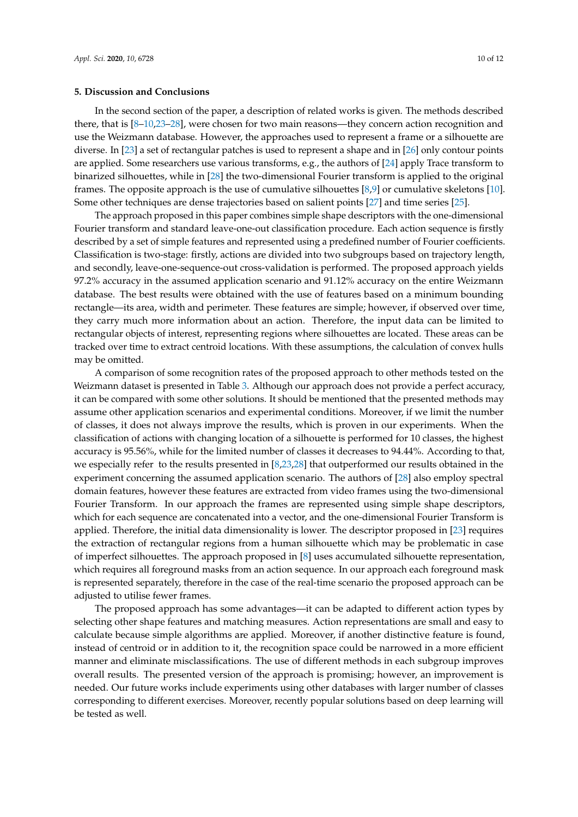#### <span id="page-9-0"></span>**5. Discussion and Conclusions**

In the second section of the paper, a description of related works is given. The methods described there, that is [\[8](#page-10-7)[–10,](#page-10-9)[23–](#page-11-5)[28\]](#page-11-10), were chosen for two main reasons—they concern action recognition and use the Weizmann database. However, the approaches used to represent a frame or a silhouette are diverse. In [\[23\]](#page-11-5) a set of rectangular patches is used to represent a shape and in [\[26\]](#page-11-8) only contour points are applied. Some researchers use various transforms, e.g., the authors of [\[24\]](#page-11-6) apply Trace transform to binarized silhouettes, while in [\[28\]](#page-11-10) the two-dimensional Fourier transform is applied to the original frames. The opposite approach is the use of cumulative silhouettes [\[8,](#page-10-7)[9\]](#page-10-8) or cumulative skeletons [\[10\]](#page-10-9). Some other techniques are dense trajectories based on salient points [\[27\]](#page-11-9) and time series [\[25\]](#page-11-7).

The approach proposed in this paper combines simple shape descriptors with the one-dimensional Fourier transform and standard leave-one-out classification procedure. Each action sequence is firstly described by a set of simple features and represented using a predefined number of Fourier coefficients. Classification is two-stage: firstly, actions are divided into two subgroups based on trajectory length, and secondly, leave-one-sequence-out cross-validation is performed. The proposed approach yields 97.2% accuracy in the assumed application scenario and 91.12% accuracy on the entire Weizmann database. The best results were obtained with the use of features based on a minimum bounding rectangle—its area, width and perimeter. These features are simple; however, if observed over time, they carry much more information about an action. Therefore, the input data can be limited to rectangular objects of interest, representing regions where silhouettes are located. These areas can be tracked over time to extract centroid locations. With these assumptions, the calculation of convex hulls may be omitted.

A comparison of some recognition rates of the proposed approach to other methods tested on the Weizmann dataset is presented in Table [3.](#page-10-14) Although our approach does not provide a perfect accuracy, it can be compared with some other solutions. It should be mentioned that the presented methods may assume other application scenarios and experimental conditions. Moreover, if we limit the number of classes, it does not always improve the results, which is proven in our experiments. When the classification of actions with changing location of a silhouette is performed for 10 classes, the highest accuracy is 95.56%, while for the limited number of classes it decreases to 94.44%. According to that, we especially refer to the results presented in [\[8](#page-10-7)[,23](#page-11-5)[,28\]](#page-11-10) that outperformed our results obtained in the experiment concerning the assumed application scenario. The authors of [\[28\]](#page-11-10) also employ spectral domain features, however these features are extracted from video frames using the two-dimensional Fourier Transform. In our approach the frames are represented using simple shape descriptors, which for each sequence are concatenated into a vector, and the one-dimensional Fourier Transform is applied. Therefore, the initial data dimensionality is lower. The descriptor proposed in [\[23\]](#page-11-5) requires the extraction of rectangular regions from a human silhouette which may be problematic in case of imperfect silhouettes. The approach proposed in [\[8\]](#page-10-7) uses accumulated silhouette representation, which requires all foreground masks from an action sequence. In our approach each foreground mask is represented separately, therefore in the case of the real-time scenario the proposed approach can be adjusted to utilise fewer frames.

The proposed approach has some advantages—it can be adapted to different action types by selecting other shape features and matching measures. Action representations are small and easy to calculate because simple algorithms are applied. Moreover, if another distinctive feature is found, instead of centroid or in addition to it, the recognition space could be narrowed in a more efficient manner and eliminate misclassifications. The use of different methods in each subgroup improves overall results. The presented version of the approach is promising; however, an improvement is needed. Our future works include experiments using other databases with larger number of classes corresponding to different exercises. Moreover, recently popular solutions based on deep learning will be tested as well.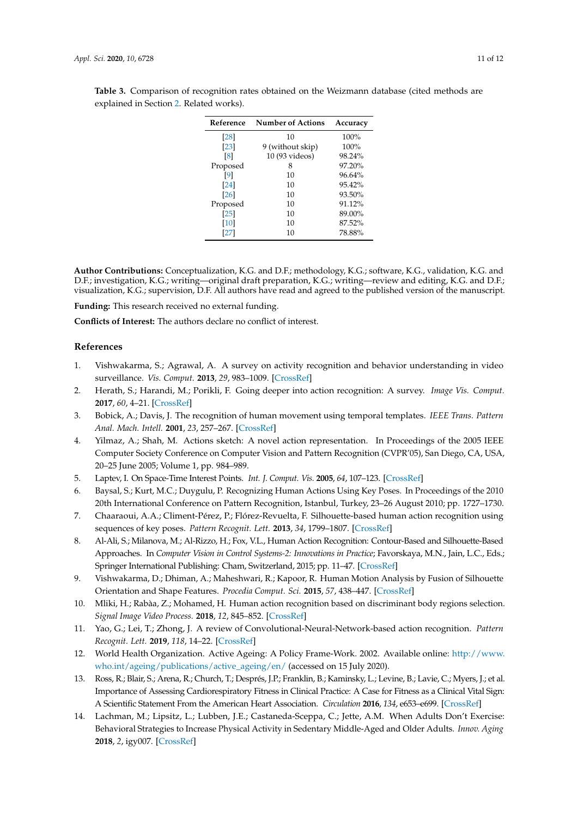| Reference | <b>Number of Actions</b> | Accuracy |
|-----------|--------------------------|----------|
| [28]      | 10                       | 100%     |
| [23]      | 9 (without skip)         | 100%     |
| [8]       | 10 (93 videos)           | 98.24%   |
| Proposed  | 8                        | 97.20%   |
| [9]       | 10                       | 96.64%   |
| [24]      | 10                       | 95.42%   |
| [26]      | 10                       | 93.50%   |
| Proposed  | 10                       | 91.12%   |
| [25]      | 10                       | 89.00%   |
| [10]      | 10                       | 87.52%   |
| [27]      | 10                       | 78.88%   |

<span id="page-10-14"></span>**Table 3.** Comparison of recognition rates obtained on the Weizmann database (cited methods are explained in Section [2.](#page-1-0) Related works).

**Author Contributions:** Conceptualization, K.G. and D.F.; methodology, K.G.; software, K.G., validation, K.G. and D.F.; investigation, K.G.; writing—original draft preparation, K.G.; writing—review and editing, K.G. and D.F.; visualization, K.G.; supervision, D.F. All authors have read and agreed to the published version of the manuscript.

**Funding:** This research received no external funding.

**Conflicts of Interest:** The authors declare no conflict of interest.

#### **References**

- <span id="page-10-0"></span>1. Vishwakarma, S.; Agrawal, A. A survey on activity recognition and behavior understanding in video surveillance. *Vis. Comput.* **2013**, *29*, 983–1009. [\[CrossRef\]](http://dx.doi.org/10.1007/s00371-012-0752-6)
- <span id="page-10-1"></span>2. Herath, S.; Harandi, M.; Porikli, F. Going deeper into action recognition: A survey. *Image Vis. Comput.* **2017**, *60*, 4–21. [\[CrossRef\]](http://dx.doi.org/10.1016/j.imavis.2017.01.010)
- <span id="page-10-2"></span>3. Bobick, A.; Davis, J. The recognition of human movement using temporal templates. *IEEE Trans. Pattern Anal. Mach. Intell.* **2001**, *23*, 257–267. [\[CrossRef\]](http://dx.doi.org/10.1109/34.910878)
- <span id="page-10-3"></span>4. Yilmaz, A.; Shah, M. Actions sketch: A novel action representation. In Proceedings of the 2005 IEEE Computer Society Conference on Computer Vision and Pattern Recognition (CVPR'05), San Diego, CA, USA, 20–25 June 2005; Volume 1, pp. 984–989.
- <span id="page-10-4"></span>5. Laptev, I. On Space-Time Interest Points. *Int. J. Comput. Vis.* **2005**, *64*, 107–123. [\[CrossRef\]](http://dx.doi.org/10.1007/s11263-005-1838-7)
- <span id="page-10-5"></span>6. Baysal, S.; Kurt, M.C.; Duygulu, P. Recognizing Human Actions Using Key Poses. In Proceedings of the 2010 20th International Conference on Pattern Recognition, Istanbul, Turkey, 23–26 August 2010; pp. 1727–1730.
- <span id="page-10-6"></span>7. Chaaraoui, A.A.; Climent-Pérez, P.; Flórez-Revuelta, F. Silhouette-based human action recognition using sequences of key poses. *Pattern Recognit. Lett.* **2013**, *34*, 1799–1807. [\[CrossRef\]](http://dx.doi.org/10.1016/j.patrec.2013.01.021)
- <span id="page-10-7"></span>8. Al-Ali, S.; Milanova, M.; Al-Rizzo, H.; Fox, V.L., Human Action Recognition: Contour-Based and Silhouette-Based Approaches. In *Computer Vision in Control Systems-2: Innovations in Practice*; Favorskaya, M.N., Jain, L.C., Eds.; Springer International Publishing: Cham, Switzerland, 2015; pp. 11–47. [\[CrossRef\]](http://dx.doi.org/10.1007/978-3-319-11430-92)
- <span id="page-10-8"></span>9. Vishwakarma, D.; Dhiman, A.; Maheshwari, R.; Kapoor, R. Human Motion Analysis by Fusion of Silhouette Orientation and Shape Features. *Procedia Comput. Sci.* **2015**, *57*, 438–447. [\[CrossRef\]](http://dx.doi.org/10.1016/j.procs.2015.07.515)
- <span id="page-10-9"></span>10. Mliki, H.; Rabàa, Z.; Mohamed, H. Human action recognition based on discriminant body regions selection. *Signal Image Video Process.* **2018**, *12*, 845–852. [\[CrossRef\]](http://dx.doi.org/10.1007/s11760-017-1227-z)
- <span id="page-10-10"></span>11. Yao, G.; Lei, T.; Zhong, J. A review of Convolutional-Neural-Network-based action recognition. *Pattern Recognit. Lett.* **2019**, *118*, 14–22. [\[CrossRef\]](http://dx.doi.org/10.1016/j.patrec.2018.05.018)
- <span id="page-10-11"></span>12. World Health Organization. Active Ageing: A Policy Frame-Work. 2002. Available online: [http://www.](http://www.who.int/ageing/publications/active_ageing/en/) [who.int/ageing/publications/active\\_ageing/en/](http://www.who.int/ageing/publications/active_ageing/en/) (accessed on 15 July 2020).
- <span id="page-10-12"></span>13. Ross, R.; Blair, S.; Arena, R.; Church, T.; Després, J.P.; Franklin, B.; Kaminsky, L.; Levine, B.; Lavie, C.; Myers, J.; et al. Importance of Assessing Cardiorespiratory Fitness in Clinical Practice: A Case for Fitness as a Clinical Vital Sign: A Scientific Statement From the American Heart Association. *Circulation* **2016**, *134*, e653–e699. [\[CrossRef\]](http://dx.doi.org/10.1161/CIR.0000000000000461)
- <span id="page-10-13"></span>14. Lachman, M.; Lipsitz, L.; Lubben, J.E.; Castaneda-Sceppa, C.; Jette, A.M. When Adults Don't Exercise: Behavioral Strategies to Increase Physical Activity in Sedentary Middle-Aged and Older Adults. *Innov. Aging* **2018**, *2*, igy007. [\[CrossRef\]](http://dx.doi.org/10.1093/geroni/igy007)